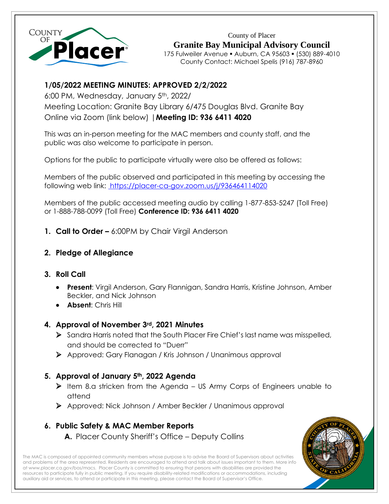

County of Placer **Granite Bay Municipal Advisory Council** 175 Fulweiler Avenue ▪ Auburn, CA 95603 ▪ (530) 889-4010 County Contact: Michael Spelis (916) 787-8960

# **1/05/2022 MEETING MINUTES: APPROVED 2/2/2022**

6:00 PM, Wednesday, January 5th, 2022/ Meeting Location: Granite Bay Library 6/475 Douglas Blvd. Granite Bay Online via Zoom (link below) |**Meeting ID: 936 6411 4020**

This was an in-person meeting for the MAC members and county staff, and the public was also welcome to participate in person.

Options for the public to participate virtually were also be offered as follows:

Members of the public observed and participated in this meeting by accessing the following web link:<https://placer-ca-gov.zoom.us/j/936464114020>

Members of the public accessed meeting audio by calling 1-877-853-5247 (Toll Free) or 1-888-788-0099 (Toll Free) **Conference ID: 936 6411 4020**

- **1. Call to Order –** 6:00PM by Chair Virgil Anderson
- **2. Pledge of Allegiance**

## **3. Roll Call**

- **Present**: Virgil Anderson, Gary Flannigan, Sandra Harris, Kristine Johnson, Amber Beckler, and Nick Johnson
- **Absent**: Chris Hill

# **4. Approval of November 3rd, 2021 Minutes**

- ➢ Sandra Harris noted that the South Placer Fire Chief's last name was misspelled, and should be corrected to "Duerr"
- ➢ Approved: Gary Flanagan / Kris Johnson / Unanimous approval

# **5. Approval of January 5th, 2022 Agenda**

- ➢ Item 8.a stricken from the Agenda US Army Corps of Engineers unable to attend
- ➢ Approved: Nick Johnson / Amber Beckler / Unanimous approval

# **6. Public Safety & MAC Member Reports**

**A.** Placer County Sheriff's Office – Deputy Collins

The MAC is composed of appointed community members whose purpose is to advise the Board of Supervisors about activities and problems of the area represented. Residents are encouraged to attend and talk about issues important to them. More info a[t www.placer.ca.gov/bos/macs.](http://www.placer.ca.gov/bos/macs) Placer County is committed to ensuring that persons with disabilities are provided the resources to participate fully in public meeting. If you require disability-related modifications or accommodations, including auxiliary aid or services, to attend or participate in this meeting, please contact the Board of Supervisor's Office.

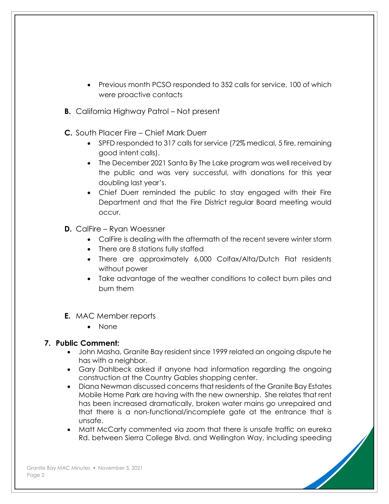- Previous month PCSO responded to 352 calls for service, 100 of which were proactive contacts
- **B.** California Highway Patrol Not present
- **C.** South Placer Fire Chief Mark Duerr
	- SPFD responded to 317 calls for service (72% medical, 5 fire, remaining good intent calls).
	- The December 2021 Santa By The Lake program was well received by the public and was very successful, with donations for this year doubling last year's.
	- Chief Duerr reminded the public to stay engaged with their Fire Department and that the Fire District regular Board meeting would occur.
- **D.** CalFire Ryan Woessner
	- CalFire is dealing with the aftermath of the recent severe winter storm
	- There are 8 stations fully staffed
	- There are approximately 6,000 Colfax/Alta/Dutch Flat residents without power
	- Take advantage of the weather conditions to collect burn piles and burn them
- **E.** MAC Member reports
	- None

## **7. Public Comment:**

- John Masha, Granite Bay resident since 1999 related an ongoing dispute he has with a neighbor.
- Gary Dahlbeck asked if anyone had information regarding the ongoing construction at the Country Gables shopping center.
- Diana Newman discussed concerns that residents of the Granite Bay Estates Mobile Home Park are having with the new ownership. She relates that rent has been increased dramatically, broken water mains go unrepaired and that there is a non-functional/incomplete gate at the entrance that is unsafe.
- Matt McCarty commented via zoom that there is unsafe traffic on eureka Rd. between Sierra College Blvd. and Wellington Way, including speeding

Granite Bay MAC Minutes · November 3, 2021 Page 2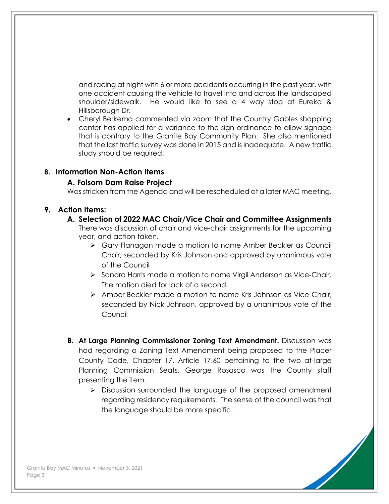and racing at night with 6 or more accidents occurring in the past year, with one accident causing the vehicle to travel into and across the landscaped shoulder/sidewalk. He would like to see a 4 way stop at Eureka & Hillsborough Dr.

• Cheryl Berkema commented via zoom that the Country Gables shopping center has applied for a variance to the sign ordinance to allow signage that is contrary to the Granite Bay Community Plan. She also mentioned that the last traffic survey was done in 2015 and is inadequate. A new traffic study should be required.

#### **8. Information Non-Action Items**

#### **A. Folsom Dam Raise Project**

Was stricken from the Agenda and will be rescheduled at a later MAC meeting.

#### **9. Action Items:**

#### **A. Selection of 2022 MAC Chair/Vice Chair and Committee Assignments**

There was discussion of chair and vice-chair assignments for the upcoming year, and action taken.

- ➢ Gary Flanagan made a motion to name Amber Beckler as Council Chair, seconded by Kris Johnson and approved by unanimous vote of the Council
- ➢ Sandra Harris made a motion to name Virgil Anderson as Vice-Chair. The motion died for lack of a second.
- ➢ Amber Beckler made a motion to name Kris Johnson as Vice-Chair, seconded by Nick Johnson, approved by a unanimous vote of the Council
- **B. At Large Planning Commissioner Zoning Text Amendment.** Discussion was had regarding a Zoning Text Amendment being proposed to the Placer County Code, Chapter 17, Article 17.60 pertaining to the two at-large Planning Commission Seats. George Rosasco was the County staff presenting the item.
	- ➢ Discussion surrounded the language of the proposed amendment regarding residency requirements. The sense of the council was that the language should be more specific.

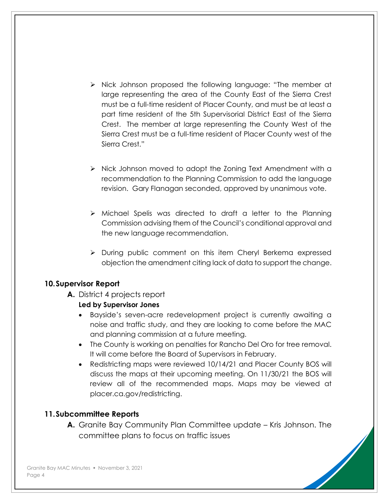- ➢ Nick Johnson proposed the following language: "The member at large representing the area of the County East of the Sierra Crest must be a full-time resident of Placer County, and must be at least a part time resident of the 5th Supervisorial District East of the Sierra Crest. The member at large representing the County West of the Sierra Crest must be a full-time resident of Placer County west of the Sierra Crest."
- ➢ Nick Johnson moved to adopt the Zoning Text Amendment with a recommendation to the Planning Commission to add the language revision. Gary Flanagan seconded, approved by unanimous vote.
- ➢ Michael Spelis was directed to draft a letter to the Planning Commission advising them of the Council's conditional approval and the new language recommendation.
- ➢ During public comment on this item Cheryl Berkema expressed objection the amendment citing lack of data to support the change.

## **10.Supervisor Report**

**A.** District 4 projects report

#### **Led by Supervisor Jones**

- Bayside's seven-acre redevelopment project is currently awaiting a noise and traffic study, and they are looking to come before the MAC and planning commission at a future meeting.
- The County is working on penalties for Rancho Del Oro for tree removal. It will come before the Board of Supervisors in February.
- Redistricting maps were reviewed 10/14/21 and Placer County BOS will discuss the maps at their upcoming meeting. On 11/30/21 the BOS will review all of the recommended maps. Maps may be viewed at placer.ca.gov/redistricting.

## **11.Subcommittee Reports**

**A.** Granite Bay Community Plan Committee update – Kris Johnson. The committee plans to focus on traffic issues

Granite Bay MAC Minutes · November 3, 2021 Page 4